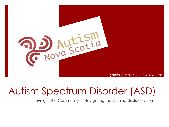

## Autism Spectrum Disorder (ASD)

Living in the Community - Navigating the Criminal Justice System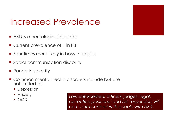### Increased Prevalence

- ASD is a neurological disorder
- Current prevalence of 1 in 88
- **Four times more likely in boys than girls**
- **Social communication disability**
- Range in severity
- Common mental health disorders include but are not limited to:
	- **Depression**
	- Anxiety
	- $\blacksquare$  OCD

*Law enforcement officers, judges, legal, correction personnel and first responders will come into contact with people with ASD.*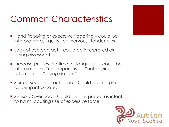### Common Characteristics

- Hand flapping or excessive fidgeting could be interpreted as "guilty" or "nervous" tendencies
- Lack of eye contact could be interpreted as being disrespectful
- $\blacksquare$  Increase processing time for language could be interpreted as "uncooperative", "not paying attention" or "being defiant"
- Slurred speech or echolalia Could be interpreted as being intoxicated
- Sensory Overload Could be interpreted as intent to harm, causing use of excessive force

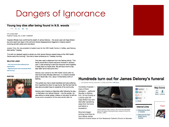### Dangers of Ignorance

### Young boy dies after being found in N.S. woods

Text: FIFIE BIK

CTV ca News Staff Published Tuesday, Dec. 8, 2009 11:32AM EST

Hospital officials have confirmed the death of James Delorey -- the seven-year-old Cape Breton boy who spent two days in the cold and whose disappearance triggered a massive search involving aircraft, police and volunteers.

Jocelyn Vine, the vice-president of patient care for the IWK Health Centre in Halifax, said Delorey died earlier Tuesday.

"It is with our deepest regret to advise you that James Delorey passed away at the IWK Health Centre early this morning." Vine told a news conference on Tuesday morning.

#### **RELATED LINKS**

- N.S. boy found alive suffering from

- hypothermia
- Searchers grow more concerned about lost N.S. boy

**PHOTOS** 



care. It was amazing to see how everyone came together. It really kept my hopes alive. We will have more to say later after we've had some time." Delorey was rushed to the IWK Health Centre after he

Vine also read a statement from the Delorey family: "The

family would like to thank everyone involved in James's

was found early Monday afternoon, in a heavily wooded area in South Bar, N.S., about 10 kilometres north of Sydney.

The autistic boy had a weak heartbeat and was suffering from hypothermia when he was found. But the fact that he was alive provided hope to residents of his community.

Delorey went missing on Saturday after following his dog -- a Dalmation-mix named Chance -- into the woods. He was without a winter jacket, mittens or hat when he left his house and a snowstorm hit the area shortly after he

Hundreds turn out for James Delorey's funeral

Last Updated: Monday, December 14, 2009 | 8:05 PM AT CBC News

Hundreds of people many of them strangers - gathered Monday in Sydney, N.S., for the funeral of a seven-year-old Cape Breton boy who died after wandering away from his home just before a snowstorm.

Mourners began arriving more than an hour before James



James Delorey's dog, Chance, sits in the front passenger seat of the hearse carrying the boy's casket to church on Monday. (CBC)

Delorev's funeral began at Holy Redeemer Catholic Church on Monday



#### **Stay Conne** Facebook 1 Twitter Mobile  $\sqrt{4}$  +1  $\sqrt{0}$ Share  $\overline{1}$  $\blacksquare$ Email

#### **Internal Links**

Rescued boy dies

Rescuers fly Cape

Breton boy to hospital

in hospital



Your

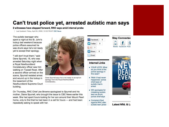### Can't trust police yet, arrested autistic man says

2 witnesses have stepped forward, RNC says amid internal probe

Last Updated: Friday, April 24, 2009 | 12:32 PM NT CBC News

The autistic teenager who spent a night at the St. John's lockup last weekend because police officers assumed he was drunk says he's not ready yet to accept their apology.

"I still don't trust them," said Dane Spurrell, 18, who was arrested Saturday night when a Royal Newfoundland Constabulary officer saw him walking on Topsail Road. After a second officer arrived on the scene, Spurrell resisted arrest and wound up in the lockup in the basement of the Newfoundland Supreme Court building.



Dane Spurrell says he is not ready to accept an apology from the Royal Newfoundland Constabulary.

On Thursday, RNC Chief Joe Browne apologized to Spurrell and his mother, Diane Spurrell, who brought the issue to CBC News earlier this week. She had spent hours looking for her son around their Mount Pearl home, only to find that he had been in a cell for hours - and had been repeatedly asking to speak with her.

| Facebook |  |
|----------|--|
| Twitter  |  |
|          |  |
| Share    |  |
| Email    |  |

#### **Internal Links**

- YOUR VOTE: What do you think of the police apology in this case?
- Wish it had never happened,' police chief says of autistic man's arrest
- Will apologize for mistaking autistic teen as drunk. police chief says
- Complaint filed against RNC after autistic teen jailed



**Stay Connected** 



Latest Nfld, & La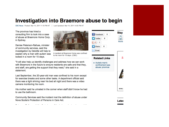### **Investigation into Braemore abuse to begin**

CBC News Posted: Mar 14, 2011 1:18 PM AT | Last Updated: Mar 14, 2011 4:05 PM AT

The province has hired a consulting firm to look into a case of abuse at Braemore Home Corp. in Sydney.

Denise Peterson-Rafuse, minister of community services, said the investigation by Deloitte will help to explain why a man with autism was locked in a room for 15 days.



A resident at Braemore Home was confined to his room for 15 days. (CBC)

"It will also help us identify challenges and address how we can work with Braemore in the future to ensure residents are safe and that they, and staff, are getting the support that they need," she said in a statement.

Last September, the 20-year-old man was confined to his room except for exercise breaks and some other tasks. A department official said there was a light shining near his bed all night and there was a video camera monitoring his room.

His mother said he urinated in the corner when staff didn't know he had to use the bathroom.

Community Services said the incident met the definition of abuse under Nova Scotia's Protection of Persons in Care Act.

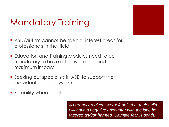### Mandatory Training

- ASD/autism cannot be special interest areas for professionals in the field.
- **Education and Training Modules need to be** mandatory to have effective reach and maximum impact
- Seeking out specialists in ASD to support the individual and the system
- **Filexibility when possible**

*A parent/caregivers worst fear is that their child will have a negative encounter with the law; be tasered and/or harmed. Ultimate fear is death.*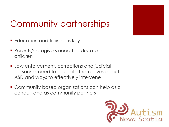

## Community partnerships

- **Education and training is key**
- **Parents/caregivers need to educate their** children
- **Law enforcement, corrections and judicial** personnel need to educate themselves about ASD and ways to effectively intervene
- **E** Community based organizations can help as a conduit and as community partners